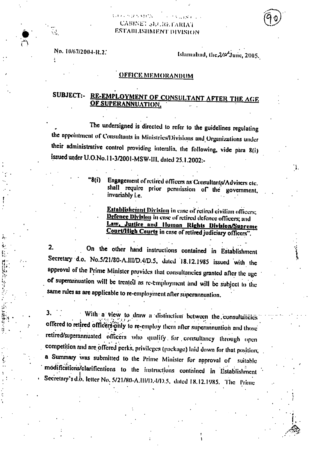## $\sim 2.3$  and  $\sim 10^{11}$ **CABINET SECRETARIAT** ESTABLISHMENT DIVISION

**GUARANTEE** 

No. 10/67/2004-R.2.

 $\mathcal{L}_{\mathcal{L}}$ 

Islamabad, the 2/st June, 2005.

## <u>OFFICE MEMORANDUM</u>

## SUBJECT:- RE-EMPLOYMENT OF CONSULTANT AFTER THE AGE OF SUPERANNUATION.

The undersigned is directed to refer to the guidelines regulating the appointment of Consultants in Ministries/Divisions and Organizations under their administrative control providing interalia, the following, vide para 8(i) issued under U.O.No.11-3/2001-MSW-III, dated 25.1.2002:-

> Engagement of retired officers as Consultants/Advisers etc. \*8(i) shall require prior permission of the government, invariably *i.e.*

Establishemnt Division in case of retired civilian officers; Defence Division in case of retired defence officers; and Law, Justice and Human Rights Division/Supreme Court/High Courts in case of retired judiciary officers".

On the other hand instructions contained in Establishment  $2.$ Secretary d.o. No.5/21/80-A.III/D.4/D.5, dated 18.12.1985 issued with the approval of the Prime Minister provides that consultancies granted after the age of superannuation will be treated as re-employment and will be subject to the same rules as are applicable to re-employment after superannuation.

3. With a view to draw a distinction between the consultancies offered to retired officers only to re-employ them after superannuation and those retired/superannuated officers who qualify for consultancy through open competition and are offered perks, privileges (package) laid down for that position, a Summary was submitted to the Prime Minister for approval of suitable modifications/clarifications to the instructions contained in Establishment Secretary's d.b. letter No. 5/21/80-A.111/D.4/D.5, dated 18.12.1985. The Prime